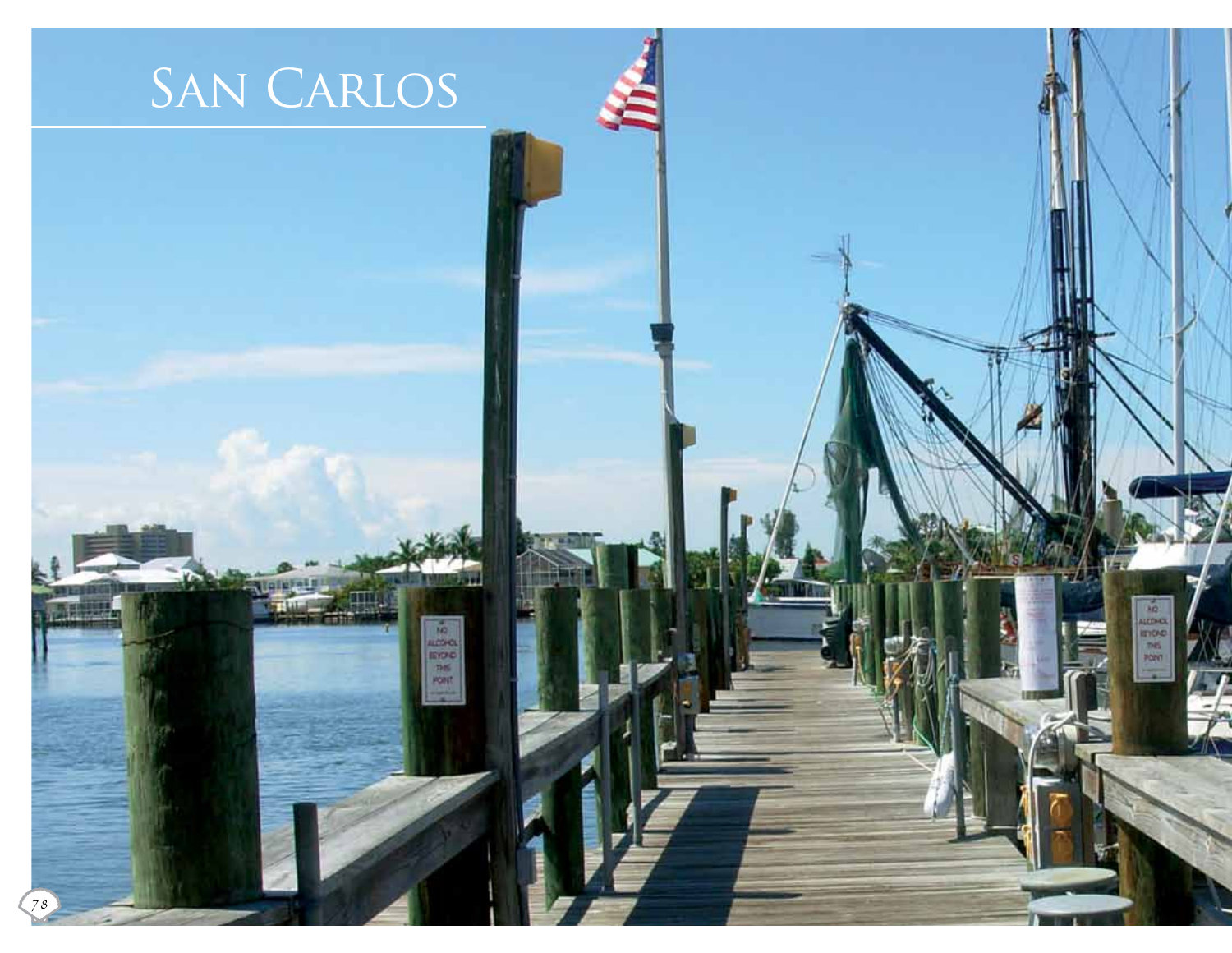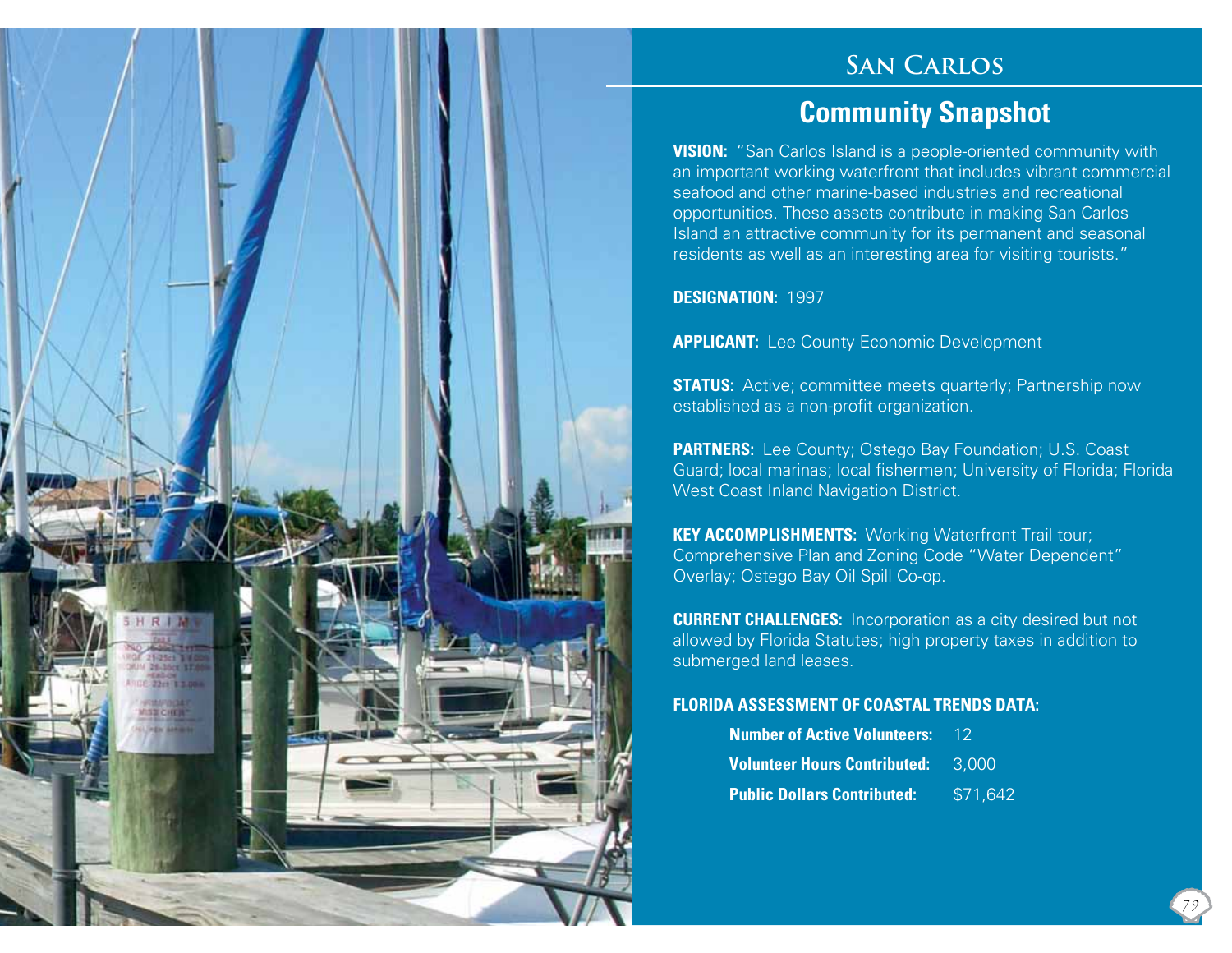## **San Carlos**

## **Community Snapshot**

**VISION:** "San Carlos Island is a people-oriented community with an important working waterfront that includes vibrant commercial seafood and other marine-based industries and recreational opportunities. These assets contribute in making San Carlos Island an attractive community for its permanent and seasonal residents as well as an interesting area for visiting tourists."

**DESIGNATION:** 1997

HRI

**APPLICANT:** Lee County Economic Development

**STATUS:** Active; committee meets quarterly; Partnership now established as a non-profit organization.

**PARTNERS:** Lee County; Ostego Bay Foundation; U.S. Coast Guard; local marinas; local fishermen; University of Florida; Florida West Coast Inland Navigation District.

**KEY ACCOMPLISHMENTS: Working Waterfront Trail tour;** Comprehensive Plan and Zoning Code "Water Dependent" Overlay; Ostego Bay Oil Spill Co-op.

**CURRENT CHALLENGES:** Incorporation as a city desired but not allowed by Florida Statutes; high property taxes in addition to submerged land leases.

#### **FLORIDA ASSESSMENT OF COASTAL TRENDS DATA:**

| <b>Number of Active Volunteers:</b> | 12       |
|-------------------------------------|----------|
| <b>Volunteer Hours Contributed:</b> | 3.000    |
| <b>Public Dollars Contributed:</b>  | \$71,642 |

79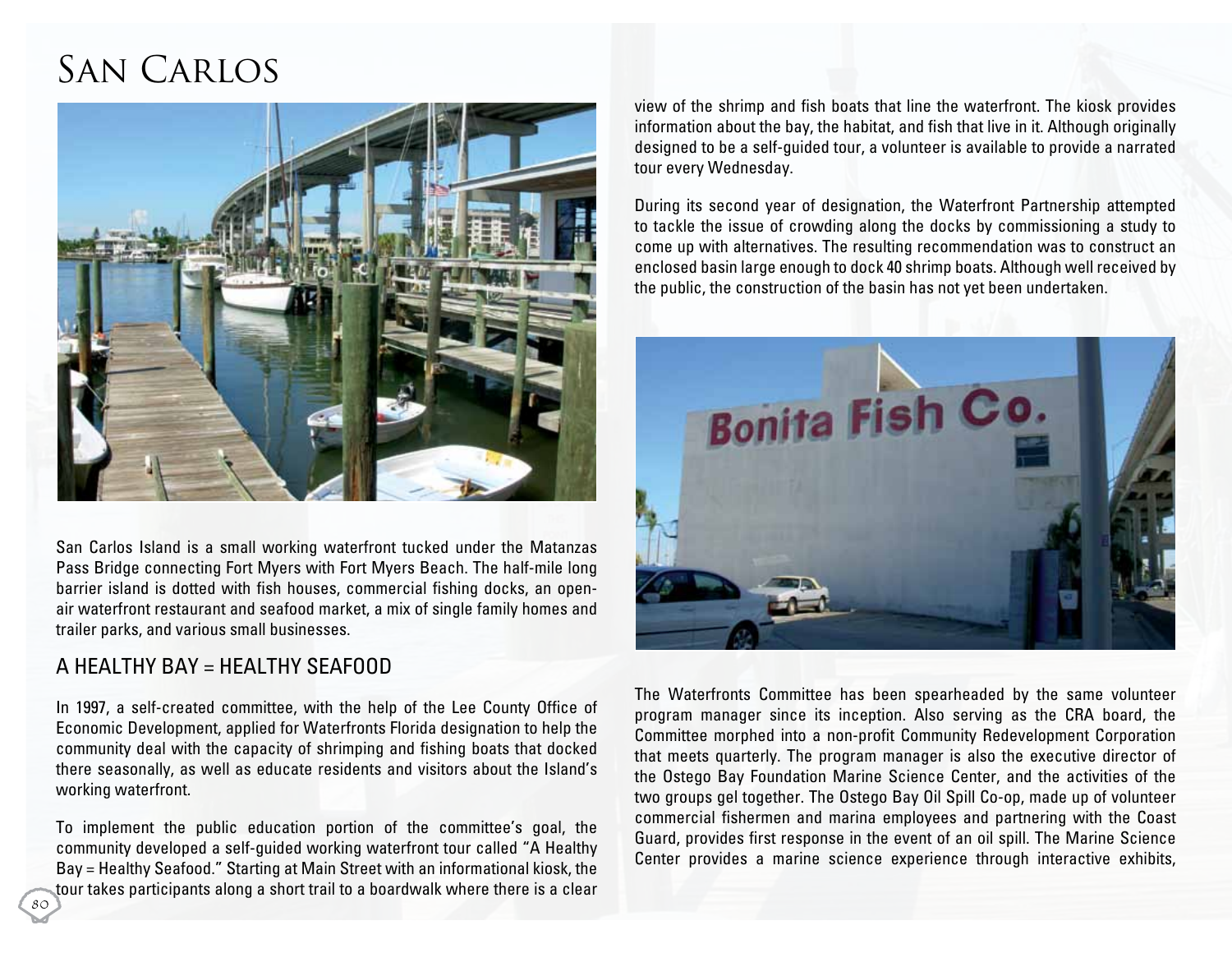# San Carlos



San Carlos Island is a small working waterfront tucked under the Matanzas Pass Bridge connecting Fort Myers with Fort Myers Beach. The half-mile long barrier island is dotted with fish houses, commercial fishing docks, an openair waterfront restaurant and seafood market, a mix of single family homes and trailer parks, and various small businesses.

### A Healthy Bay = Healthy Seafood

80

In 1997, a self-created committee, with the help of the Lee County Office of Economic Development, applied for Waterfronts Florida designation to help the community deal with the capacity of shrimping and fishing boats that docked there seasonally, as well as educate residents and visitors about the Island's working waterfront.

To implement the public education portion of the committee's goal, the community developed a self-guided working waterfront tour called "A Healthy Bay = Healthy Seafood." Starting at Main Street with an informational kiosk, the tour takes participants along a short trail to a boardwalk where there is a clear

view of the shrimp and fish boats that line the waterfront. The kiosk provides information about the bay, the habitat, and fish that live in it. Although originally designed to be a self-guided tour, a volunteer is available to provide a narrated tour every Wednesday.

During its second year of designation, the Waterfront Partnership attempted to tackle the issue of crowding along the docks by commissioning a study to come up with alternatives. The resulting recommendation was to construct an enclosed basin large enough to dock 40 shrimp boats. Although well received by the public, the construction of the basin has not yet been undertaken.



The Waterfronts Committee has been spearheaded by the same volunteer program manager since its inception. Also serving as the CRA board, the Committee morphed into a non-profit Community Redevelopment Corporation that meets quarterly. The program manager is also the executive director of the Ostego Bay Foundation Marine Science Center, and the activities of the two groups gel together. The Ostego Bay Oil Spill Co-op, made up of volunteer commercial fishermen and marina employees and partnering with the Coast Guard, provides first response in the event of an oil spill. The Marine Science Center provides a marine science experience through interactive exhibits,